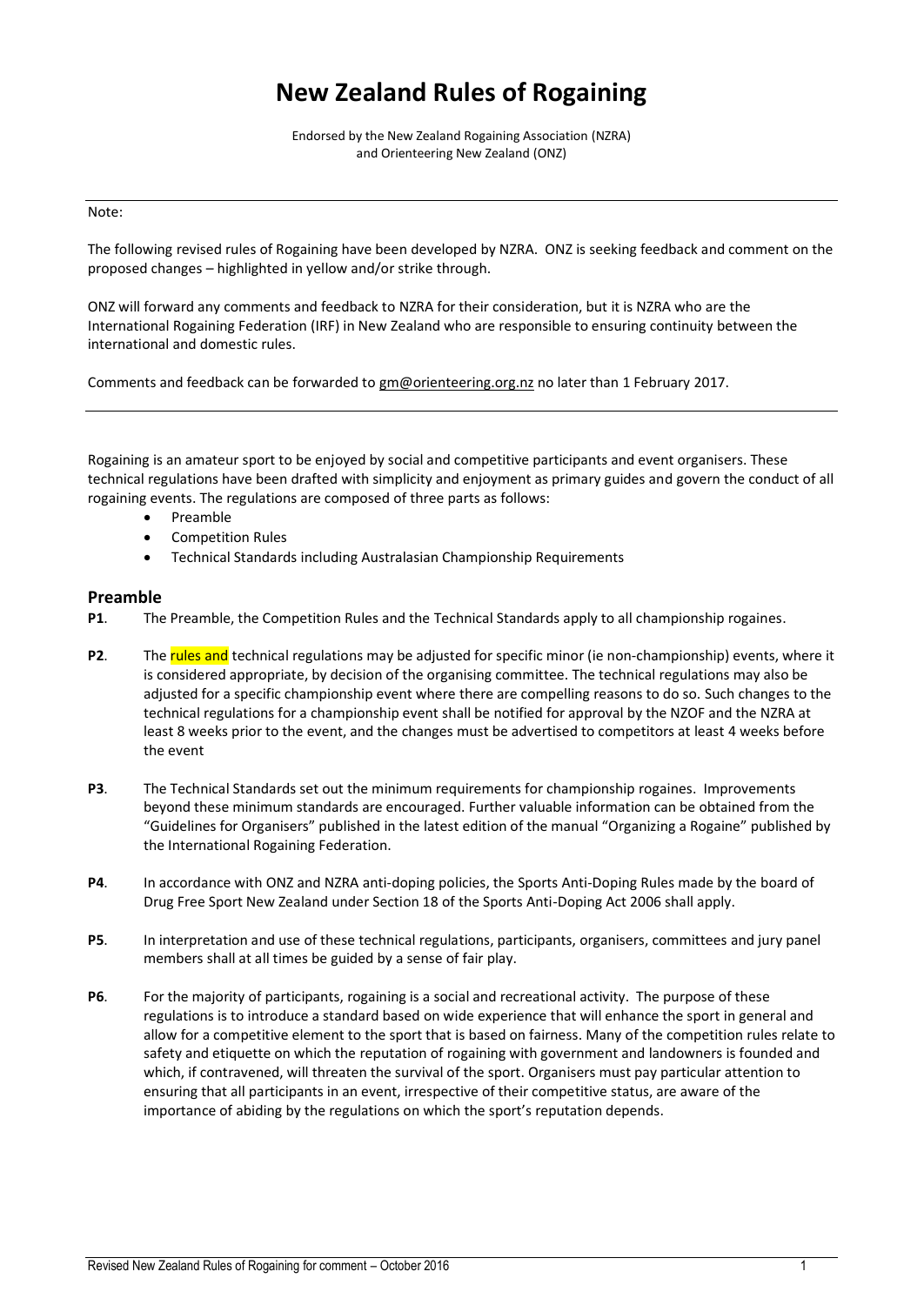# **New Zealand Rules of Rogaining**

Endorsed by the New Zealand Rogaining Association (NZRA) and Orienteering New Zealand (ONZ)

#### Note:

The following revised rules of Rogaining have been developed by NZRA. ONZ is seeking feedback and comment on the proposed changes – highlighted in yellow and/or strike through.

ONZ will forward any comments and feedback to NZRA for their consideration, but it is NZRA who are the International Rogaining Federation (IRF) in New Zealand who are responsible to ensuring continuity between the international and domestic rules.

Comments and feedback can be forwarded to [gm@orienteering.org.nz](mailto:gm@orienteering.org.nz) no later than 1 February 2017.

Rogaining is an amateur sport to be enjoyed by social and competitive participants and event organisers. These technical regulations have been drafted with simplicity and enjoyment as primary guides and govern the conduct of all rogaining events. The regulations are composed of three parts as follows:

- Preamble
- Competition Rules
- Technical Standards including Australasian Championship Requirements

## **Preamble**

- **P1**. The Preamble, the Competition Rules and the Technical Standards apply to all championship rogaines.
- **P2.** The rules and technical regulations may be adjusted for specific minor (ie non-championship) events, where it is considered appropriate, by decision of the organising committee. The technical regulations may also be adjusted for a specific championship event where there are compelling reasons to do so. Such changes to the technical regulations for a championship event shall be notified for approval by the NZOF and the NZRA at least 8 weeks prior to the event, and the changes must be advertised to competitors at least 4 weeks before the event
- **P3**. The Technical Standards set out the minimum requirements for championship rogaines. Improvements beyond these minimum standards are encouraged. Further valuable information can be obtained from the "Guidelines for Organisers" published in the latest edition of the manual "Organizing a Rogaine" published by the International Rogaining Federation.
- **P4**. In accordance with ONZ and NZRA anti-doping policies, the Sports Anti-Doping Rules made by the board of Drug Free Sport New Zealand under Section 18 of the Sports Anti-Doping Act 2006 shall apply.
- **P5**. In interpretation and use of these technical regulations, participants, organisers, committees and jury panel members shall at all times be guided by a sense of fair play.
- **P6**. For the majority of participants, rogaining is a social and recreational activity. The purpose of these regulations is to introduce a standard based on wide experience that will enhance the sport in general and allow for a competitive element to the sport that is based on fairness. Many of the competition rules relate to safety and etiquette on which the reputation of rogaining with government and landowners is founded and which, if contravened, will threaten the survival of the sport. Organisers must pay particular attention to ensuring that all participants in an event, irrespective of their competitive status, are aware of the importance of abiding by the regulations on which the sport's reputation depends.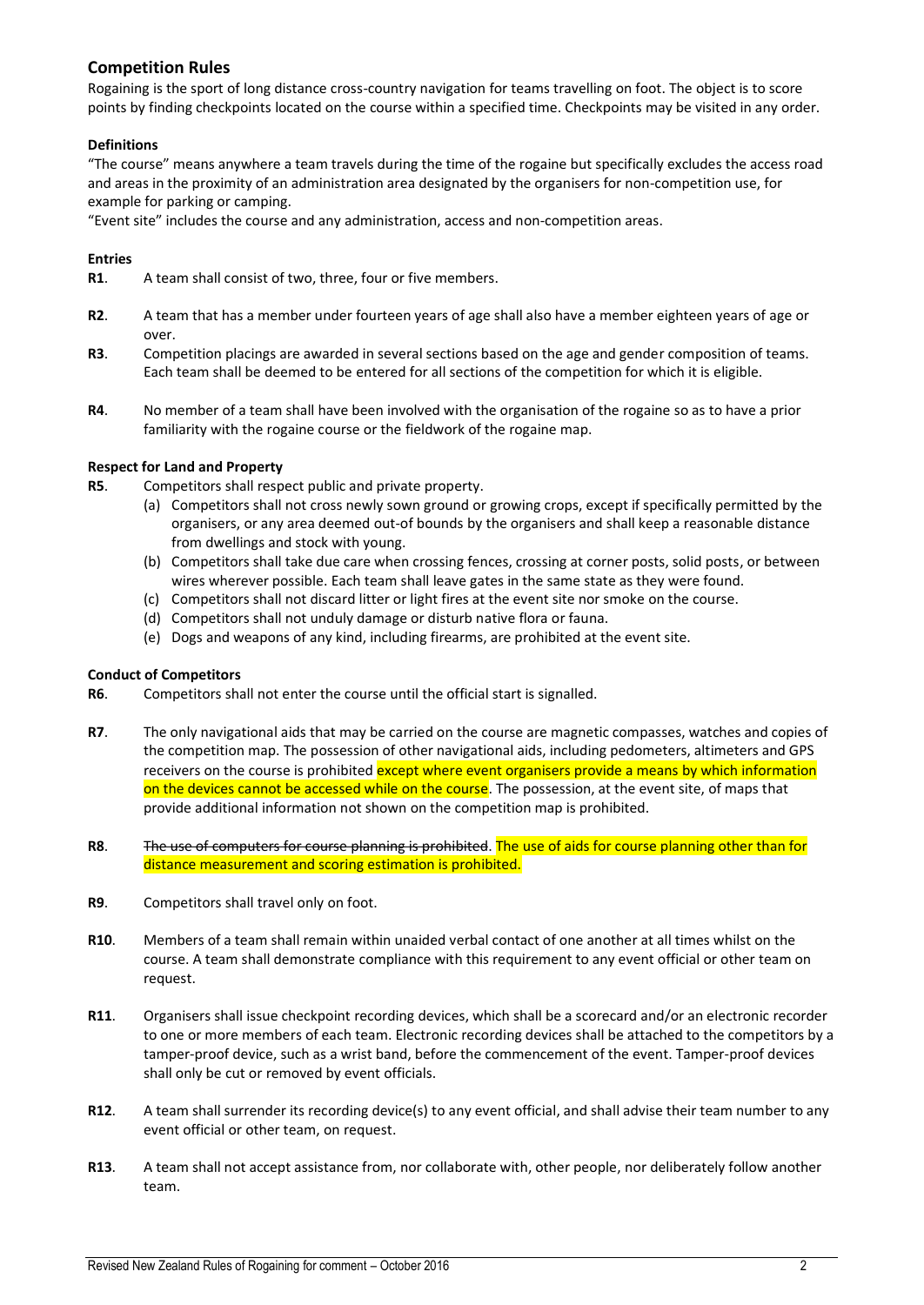# **Competition Rules**

Rogaining is the sport of long distance cross-country navigation for teams travelling on foot. The object is to score points by finding checkpoints located on the course within a specified time. Checkpoints may be visited in any order.

## **Definitions**

"The course" means anywhere a team travels during the time of the rogaine but specifically excludes the access road and areas in the proximity of an administration area designated by the organisers for non-competition use, for example for parking or camping.

"Event site" includes the course and any administration, access and non-competition areas.

## **Entries**

- **R1**. A team shall consist of two, three, four or five members.
- **R2**. A team that has a member under fourteen years of age shall also have a member eighteen years of age or over.
- **R3**. Competition placings are awarded in several sections based on the age and gender composition of teams. Each team shall be deemed to be entered for all sections of the competition for which it is eligible.
- **R4**. No member of a team shall have been involved with the organisation of the rogaine so as to have a prior familiarity with the rogaine course or the fieldwork of the rogaine map.

## **Respect for Land and Property**

**R5**. Competitors shall respect public and private property.

- (a) Competitors shall not cross newly sown ground or growing crops, except if specifically permitted by the organisers, or any area deemed out-of bounds by the organisers and shall keep a reasonable distance from dwellings and stock with young.
- (b) Competitors shall take due care when crossing fences, crossing at corner posts, solid posts, or between wires wherever possible. Each team shall leave gates in the same state as they were found.
- (c) Competitors shall not discard litter or light fires at the event site nor smoke on the course.
- (d) Competitors shall not unduly damage or disturb native flora or fauna.
- (e) Dogs and weapons of any kind, including firearms, are prohibited at the event site.

## **Conduct of Competitors**

- **R6**. Competitors shall not enter the course until the official start is signalled.
- **R7**. The only navigational aids that may be carried on the course are magnetic compasses, watches and copies of the competition map. The possession of other navigational aids, including pedometers, altimeters and GPS receivers on the course is prohibited except where event organisers provide a means by which information on the devices cannot be accessed while on the course. The possession, at the event site, of maps that provide additional information not shown on the competition map is prohibited.
- **R8**. The use of computers for course planning is prohibited. The use of aids for course planning other than for distance measurement and scoring estimation is prohibited.
- **R9**. Competitors shall travel only on foot.
- **R10**. Members of a team shall remain within unaided verbal contact of one another at all times whilst on the course. A team shall demonstrate compliance with this requirement to any event official or other team on request.
- **R11**. Organisers shall issue checkpoint recording devices, which shall be a scorecard and/or an electronic recorder to one or more members of each team. Electronic recording devices shall be attached to the competitors by a tamper-proof device, such as a wrist band, before the commencement of the event. Tamper-proof devices shall only be cut or removed by event officials.
- **R12**. A team shall surrender its recording device(s) to any event official, and shall advise their team number to any event official or other team, on request.
- **R13**. A team shall not accept assistance from, nor collaborate with, other people, nor deliberately follow another team.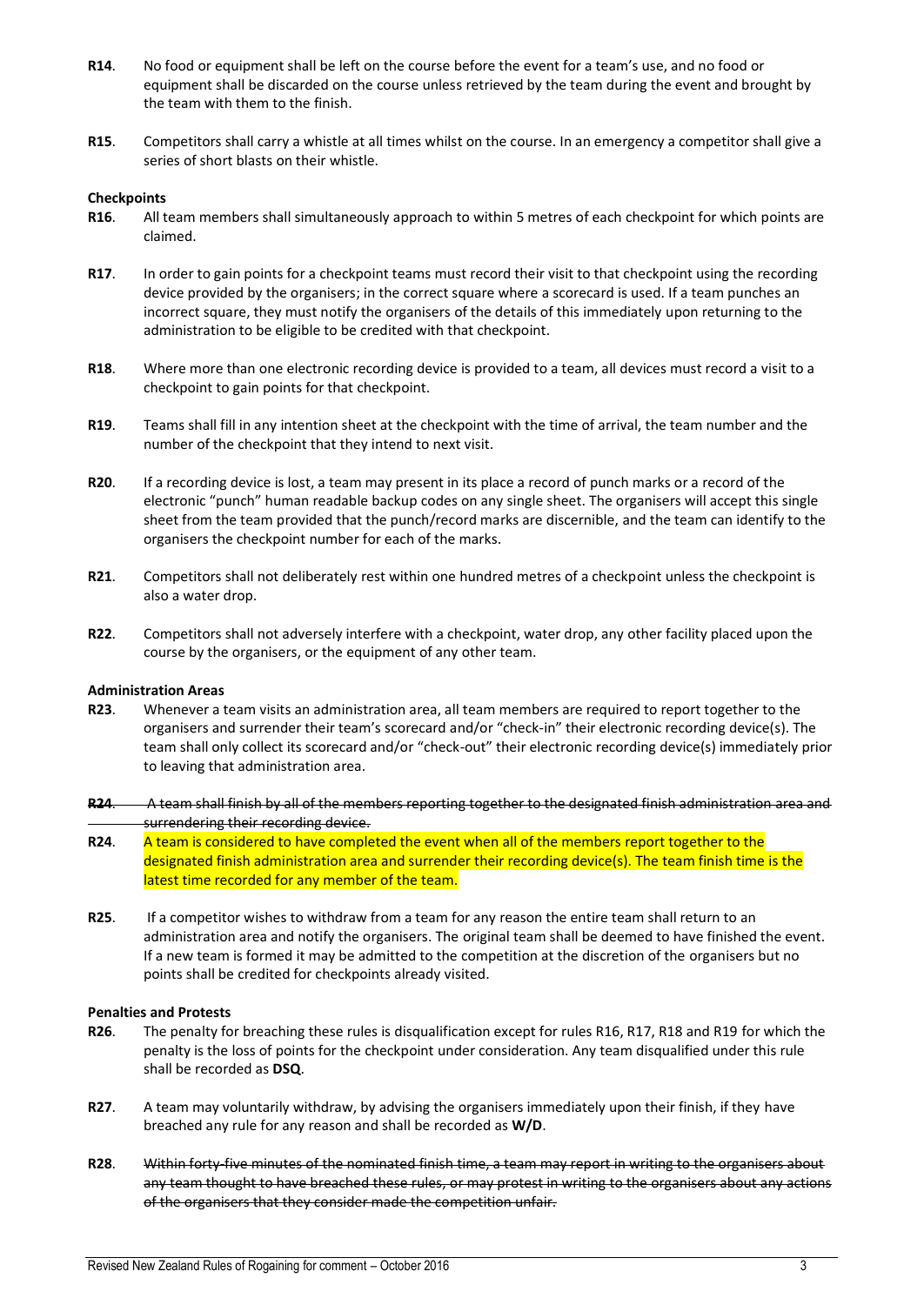- **R14**. No food or equipment shall be left on the course before the event for a team's use, and no food or equipment shall be discarded on the course unless retrieved by the team during the event and brought by the team with them to the finish.
- **R15**. Competitors shall carry a whistle at all times whilst on the course. In an emergency a competitor shall give a series of short blasts on their whistle.

#### **Checkpoints**

- **R16**. All team members shall simultaneously approach to within 5 metres of each checkpoint for which points are claimed.
- **R17**. In order to gain points for a checkpoint teams must record their visit to that checkpoint using the recording device provided by the organisers; in the correct square where a scorecard is used. If a team punches an incorrect square, they must notify the organisers of the details of this immediately upon returning to the administration to be eligible to be credited with that checkpoint.
- **R18**. Where more than one electronic recording device is provided to a team, all devices must record a visit to a checkpoint to gain points for that checkpoint.
- **R19**. Teams shall fill in any intention sheet at the checkpoint with the time of arrival, the team number and the number of the checkpoint that they intend to next visit.
- **R20**. If a recording device is lost, a team may present in its place a record of punch marks or a record of the electronic "punch" human readable backup codes on any single sheet. The organisers will accept this single sheet from the team provided that the punch/record marks are discernible, and the team can identify to the organisers the checkpoint number for each of the marks.
- **R21**. Competitors shall not deliberately rest within one hundred metres of a checkpoint unless the checkpoint is also a water drop.
- **R22**. Competitors shall not adversely interfere with a checkpoint, water drop, any other facility placed upon the course by the organisers, or the equipment of any other team.

#### **Administration Areas**

- **R23**. Whenever a team visits an administration area, all team members are required to report together to the organisers and surrender their team's scorecard and/or "check-in" their electronic recording device(s). The team shall only collect its scorecard and/or "check-out" their electronic recording device(s) immediately prior to leaving that administration area.
- **R24**. A team shall finish by all of the members reporting together to the designated finish administration area and surrendering their recording device.
- **R24.** A team is considered to have completed the event when all of the members report together to the designated finish administration area and surrender their recording device(s). The team finish time is the latest time recorded for any member of the team.
- **R25**. If a competitor wishes to withdraw from a team for any reason the entire team shall return to an administration area and notify the organisers. The original team shall be deemed to have finished the event. If a new team is formed it may be admitted to the competition at the discretion of the organisers but no points shall be credited for checkpoints already visited.

#### **Penalties and Protests**

- **R26**. The penalty for breaching these rules is disqualification except for rules R16, R17, R18 and R19 for which the penalty is the loss of points for the checkpoint under consideration. Any team disqualified under this rule shall be recorded as **DSQ**.
- **R27**. A team may voluntarily withdraw, by advising the organisers immediately upon their finish, if they have breached any rule for any reason and shall be recorded as **W/D**.
- **R28**. Within forty-five minutes of the nominated finish time, a team may report in writing to the organisers about any team thought to have breached these rules, or may protest in writing to the organisers about any actions of the organisers that they consider made the competition unfair.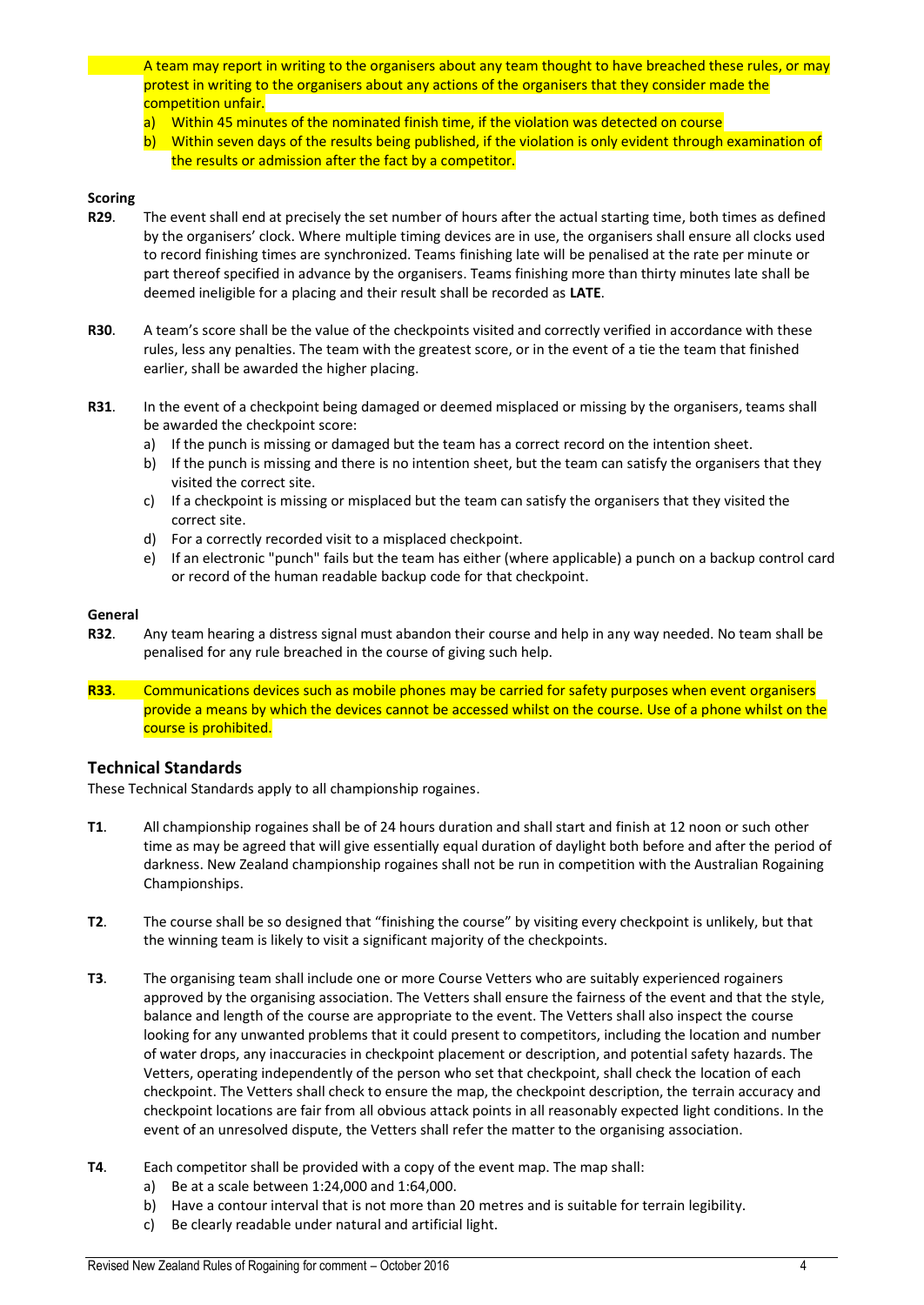A team may report in writing to the organisers about any team thought to have breached these rules, or may protest in writing to the organisers about any actions of the organisers that they consider made the competition unfair.

- a) Within 45 minutes of the nominated finish time, if the violation was detected on course
- b) Within seven days of the results being published, if the violation is only evident through examination of the results or admission after the fact by a competitor.

## **Scoring**

- **R29**. The event shall end at precisely the set number of hours after the actual starting time, both times as defined by the organisers' clock. Where multiple timing devices are in use, the organisers shall ensure all clocks used to record finishing times are synchronized. Teams finishing late will be penalised at the rate per minute or part thereof specified in advance by the organisers. Teams finishing more than thirty minutes late shall be deemed ineligible for a placing and their result shall be recorded as **LATE**.
- **R30**. A team's score shall be the value of the checkpoints visited and correctly verified in accordance with these rules, less any penalties. The team with the greatest score, or in the event of a tie the team that finished earlier, shall be awarded the higher placing.
- **R31**. In the event of a checkpoint being damaged or deemed misplaced or missing by the organisers, teams shall be awarded the checkpoint score:
	- a) If the punch is missing or damaged but the team has a correct record on the intention sheet.
	- b) If the punch is missing and there is no intention sheet, but the team can satisfy the organisers that they visited the correct site.
	- c) If a checkpoint is missing or misplaced but the team can satisfy the organisers that they visited the correct site.
	- d) For a correctly recorded visit to a misplaced checkpoint.
	- e) If an electronic "punch" fails but the team has either (where applicable) a punch on a backup control card or record of the human readable backup code for that checkpoint.

#### **General**

- **R32**. Any team hearing a distress signal must abandon their course and help in any way needed. No team shall be penalised for any rule breached in the course of giving such help.
- **R33**. Communications devices such as mobile phones may be carried for safety purposes when event organisers provide a means by which the devices cannot be accessed whilst on the course. Use of a phone whilst on the course is prohibited.

## **Technical Standards**

These Technical Standards apply to all championship rogaines.

- **T1**. All championship rogaines shall be of 24 hours duration and shall start and finish at 12 noon or such other time as may be agreed that will give essentially equal duration of daylight both before and after the period of darkness. New Zealand championship rogaines shall not be run in competition with the Australian Rogaining Championships.
- **T2**. The course shall be so designed that "finishing the course" by visiting every checkpoint is unlikely, but that the winning team is likely to visit a significant majority of the checkpoints.
- **T3**. The organising team shall include one or more Course Vetters who are suitably experienced rogainers approved by the organising association. The Vetters shall ensure the fairness of the event and that the style, balance and length of the course are appropriate to the event. The Vetters shall also inspect the course looking for any unwanted problems that it could present to competitors, including the location and number of water drops, any inaccuracies in checkpoint placement or description, and potential safety hazards. The Vetters, operating independently of the person who set that checkpoint, shall check the location of each checkpoint. The Vetters shall check to ensure the map, the checkpoint description, the terrain accuracy and checkpoint locations are fair from all obvious attack points in all reasonably expected light conditions. In the event of an unresolved dispute, the Vetters shall refer the matter to the organising association.
- **T4**. Each competitor shall be provided with a copy of the event map. The map shall:
	- a) Be at a scale between 1:24,000 and 1:64,000.
	- b) Have a contour interval that is not more than 20 metres and is suitable for terrain legibility.
	- c) Be clearly readable under natural and artificial light.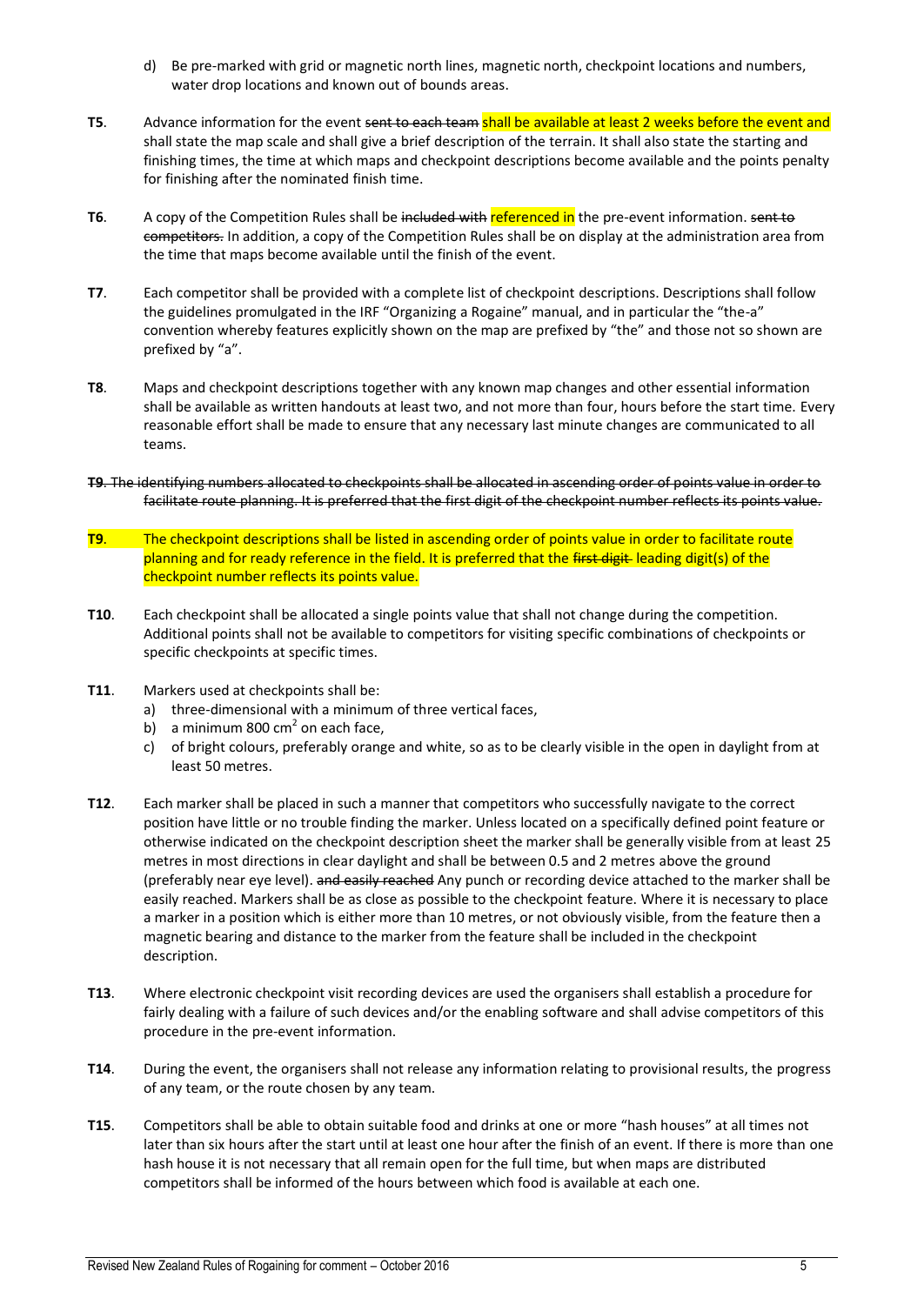- d) Be pre-marked with grid or magnetic north lines, magnetic north, checkpoint locations and numbers, water drop locations and known out of bounds areas.
- **T5**. Advance information for the event sent to each team shall be available at least 2 weeks before the event and shall state the map scale and shall give a brief description of the terrain. It shall also state the starting and finishing times, the time at which maps and checkpoint descriptions become available and the points penalty for finishing after the nominated finish time.
- **T6.** A copy of the Competition Rules shall be included with referenced in the pre-event information. sent to competitors. In addition, a copy of the Competition Rules shall be on display at the administration area from the time that maps become available until the finish of the event.
- **T7**. Each competitor shall be provided with a complete list of checkpoint descriptions. Descriptions shall follow the guidelines promulgated in the IRF "Organizing a Rogaine" manual, and in particular the "the-a" convention whereby features explicitly shown on the map are prefixed by "the" and those not so shown are prefixed by "a".
- **T8**. Maps and checkpoint descriptions together with any known map changes and other essential information shall be available as written handouts at least two, and not more than four, hours before the start time. Every reasonable effort shall be made to ensure that any necessary last minute changes are communicated to all teams.
- **T9**. The identifying numbers allocated to checkpoints shall be allocated in ascending order of points value in order to facilitate route planning. It is preferred that the first digit of the checkpoint number reflects its points value.
- **T9**. The checkpoint descriptions shall be listed in ascending order of points value in order to facilitate route planning and for ready reference in the field. It is preferred that the first digit leading digit(s) of the checkpoint number reflects its points value.
- **T10**. Each checkpoint shall be allocated a single points value that shall not change during the competition. Additional points shall not be available to competitors for visiting specific combinations of checkpoints or specific checkpoints at specific times.
- **T11**. Markers used at checkpoints shall be:
	- a) three-dimensional with a minimum of three vertical faces,
	- b) a minimum 800 cm $^2$  on each face,
	- c) of bright colours, preferably orange and white, so as to be clearly visible in the open in daylight from at least 50 metres.
- **T12**. Each marker shall be placed in such a manner that competitors who successfully navigate to the correct position have little or no trouble finding the marker. Unless located on a specifically defined point feature or otherwise indicated on the checkpoint description sheet the marker shall be generally visible from at least 25 metres in most directions in clear daylight and shall be between 0.5 and 2 metres above the ground (preferably near eye level). and easily reached Any punch or recording device attached to the marker shall be easily reached. Markers shall be as close as possible to the checkpoint feature. Where it is necessary to place a marker in a position which is either more than 10 metres, or not obviously visible, from the feature then a magnetic bearing and distance to the marker from the feature shall be included in the checkpoint description.
- **T13**. Where electronic checkpoint visit recording devices are used the organisers shall establish a procedure for fairly dealing with a failure of such devices and/or the enabling software and shall advise competitors of this procedure in the pre-event information.
- **T14**. During the event, the organisers shall not release any information relating to provisional results, the progress of any team, or the route chosen by any team.
- **T15**. Competitors shall be able to obtain suitable food and drinks at one or more "hash houses" at all times not later than six hours after the start until at least one hour after the finish of an event. If there is more than one hash house it is not necessary that all remain open for the full time, but when maps are distributed competitors shall be informed of the hours between which food is available at each one.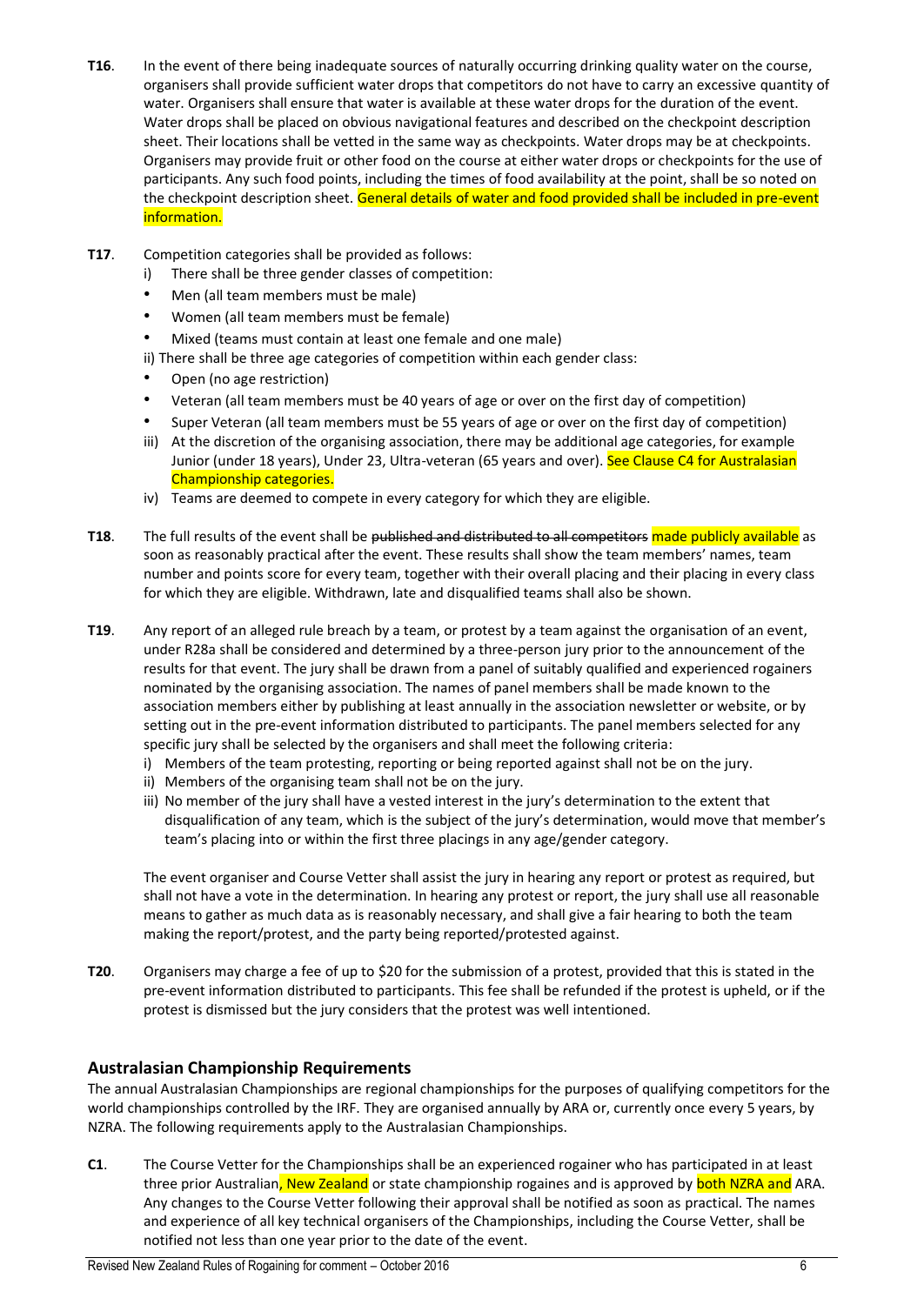- **T16**. In the event of there being inadequate sources of naturally occurring drinking quality water on the course, organisers shall provide sufficient water drops that competitors do not have to carry an excessive quantity of water. Organisers shall ensure that water is available at these water drops for the duration of the event. Water drops shall be placed on obvious navigational features and described on the checkpoint description sheet. Their locations shall be vetted in the same way as checkpoints. Water drops may be at checkpoints. Organisers may provide fruit or other food on the course at either water drops or checkpoints for the use of participants. Any such food points, including the times of food availability at the point, shall be so noted on the checkpoint description sheet. General details of water and food provided shall be included in pre-event information.
- **T17**. Competition categories shall be provided as follows:
	- i) There shall be three gender classes of competition:
	- Men (all team members must be male)
	- Women (all team members must be female)
	- Mixed (teams must contain at least one female and one male)

ii) There shall be three age categories of competition within each gender class:

- Open (no age restriction)
- Veteran (all team members must be 40 years of age or over on the first day of competition)
- Super Veteran (all team members must be 55 years of age or over on the first day of competition)
- iii) At the discretion of the organising association, there may be additional age categories, for example Junior (under 18 years), Under 23, Ultra-veteran (65 years and over). See Clause C4 for Australasian Championship categories.
- iv) Teams are deemed to compete in every category for which they are eligible.
- **T18.** The full results of the event shall be published and distributed to all competitors made publicly available as soon as reasonably practical after the event. These results shall show the team members' names, team number and points score for every team, together with their overall placing and their placing in every class for which they are eligible. Withdrawn, late and disqualified teams shall also be shown.
- **T19**. Any report of an alleged rule breach by a team, or protest by a team against the organisation of an event, under R28a shall be considered and determined by a three-person jury prior to the announcement of the results for that event. The jury shall be drawn from a panel of suitably qualified and experienced rogainers nominated by the organising association. The names of panel members shall be made known to the association members either by publishing at least annually in the association newsletter or website, or by setting out in the pre-event information distributed to participants. The panel members selected for any specific jury shall be selected by the organisers and shall meet the following criteria:
	- i) Members of the team protesting, reporting or being reported against shall not be on the jury.
	- ii) Members of the organising team shall not be on the jury.
	- iii) No member of the jury shall have a vested interest in the jury's determination to the extent that disqualification of any team, which is the subject of the jury's determination, would move that member's team's placing into or within the first three placings in any age/gender category.

The event organiser and Course Vetter shall assist the jury in hearing any report or protest as required, but shall not have a vote in the determination. In hearing any protest or report, the jury shall use all reasonable means to gather as much data as is reasonably necessary, and shall give a fair hearing to both the team making the report/protest, and the party being reported/protested against.

**T20**. Organisers may charge a fee of up to \$20 for the submission of a protest, provided that this is stated in the pre-event information distributed to participants. This fee shall be refunded if the protest is upheld, or if the protest is dismissed but the jury considers that the protest was well intentioned.

## **Australasian Championship Requirements**

The annual Australasian Championships are regional championships for the purposes of qualifying competitors for the world championships controlled by the IRF. They are organised annually by ARA or, currently once every 5 years, by NZRA. The following requirements apply to the Australasian Championships.

**C1**. The Course Vetter for the Championships shall be an experienced rogainer who has participated in at least three prior Australian, New Zealand or state championship rogaines and is approved by **both NZRA and** ARA. Any changes to the Course Vetter following their approval shall be notified as soon as practical. The names and experience of all key technical organisers of the Championships, including the Course Vetter, shall be notified not less than one year prior to the date of the event.